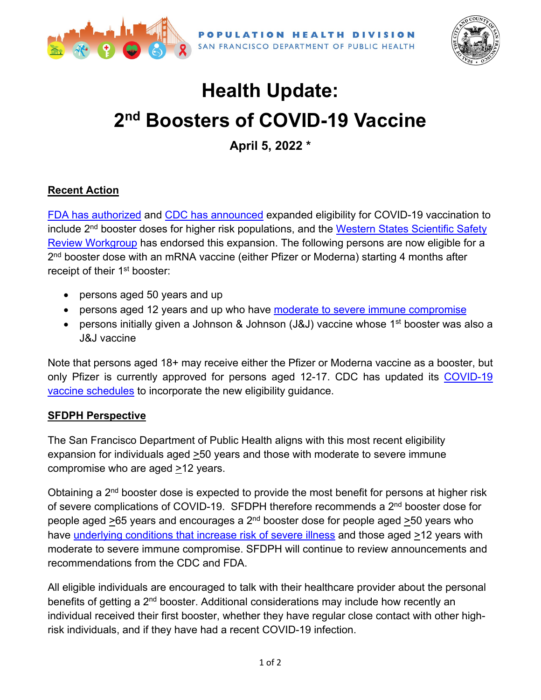



## **Health Update: 2nd Boosters of COVID-19 Vaccine**

**April 5, 2022 \***

## **Recent Action**

FDA [has authorized](https://www.fda.gov/news-events/press-announcements/coronavirus-covid-19-update-fda-authorizes-second-booster-dose-two-covid-19-vaccines-older-and) and CDC [has announced](https://www.cdc.gov/media/releases/2022/s0328-covid-19-boosters.html) expanded eligibility for COVID-19 vaccination to include 2<sup>nd</sup> booster doses for higher risk populations, and the Western States Scientific Safety [Review Workgroup](https://www.cdph.ca.gov/Programs/CID/DCDC/Pages/COVID-19/Western-States-Meeting-3-29-2022.aspx) has endorsed this expansion. The following persons are now eligible for a 2<sup>nd</sup> booster dose with an mRNA vaccine (either Pfizer or Moderna) starting 4 months after receipt of their 1<sup>st</sup> booster:

- persons aged 50 years and up
- persons aged 12 years and up who have moderate to [severe immune compromise](https://www.cdc.gov/vaccines/covid-19/clinical-considerations/interim-considerations-us.html#immunocompromised)
- persons initially given a Johnson & Johnson (J&J) vaccine whose 1<sup>st</sup> booster was also a J&J vaccine

Note that persons aged 18+ may receive either the Pfizer or Moderna vaccine as a booster, but only Pfizer is currently approved for persons aged 12-17. CDC has updated its [COVID-19](https://www.cdc.gov/vaccines/covid-19/clinical-considerations/interim-considerations-us.html#recommendations)  [vaccine schedules](https://www.cdc.gov/vaccines/covid-19/clinical-considerations/interim-considerations-us.html#recommendations) to incorporate the new eligibility guidance.

## **SFDPH Perspective**

The San Francisco Department of Public Health aligns with this most recent eligibility expansion for individuals aged >50 years and those with moderate to severe immune compromise who are aged >12 years.

Obtaining a 2<sup>nd</sup> booster dose is expected to provide the most benefit for persons at higher risk of severe complications of COVID-19. SFDPH therefore recommends a 2<sup>nd</sup> booster dose for people aged  $>65$  years and encourages a  $2<sup>nd</sup>$  booster dose for people aged  $>50$  years who have underlying [conditions that increase risk of severe illness](https://www.cdc.gov/coronavirus/2019-ncov/need-extra-precautions/people-with-medical-conditions.html) and those aged >12 years with moderate to severe immune compromise. SFDPH will continue to review announcements and recommendations from the CDC and FDA.

All eligible individuals are encouraged to talk with their healthcare provider about the personal benefits of getting a 2<sup>nd</sup> booster. Additional considerations may include how recently an individual received their first booster, whether they have regular close contact with other highrisk individuals, and if they have had a recent COVID-19 infection.